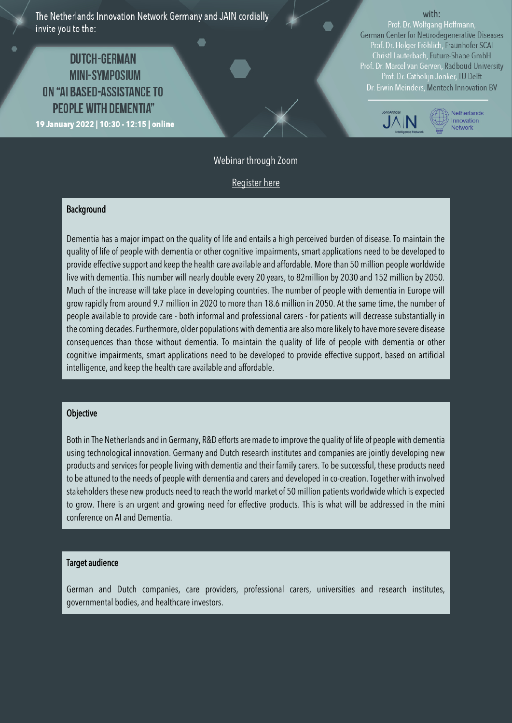The Netherlands Innovation Network Germany and JAIN cordially invite you to the:

# **DUTCH-GERMAN MINI-SYMPOSIUM** ON "AI BASED-ASSISTANCE TO **PEOPLE WITH DEMENTIA"** 19 January 2022 | 10:30 - 12:15 | online

#### with:

Prof. Dr. Wolfgang Hoffmann, German Center for Neurodegenerative Diseases Prof. Dr. Holger Fröhlich, Fraunhofer SCAI Christl Lauterbach, Future-Shape GmbH Prof. Dr. Marcel van Gerven, Radboud University<br>Prof. Dr. Catholijn Jonker, TU Delft Dr. Erwin Meinders, Mentech Innovation BV



## Webinar through Zoom

[Register here](https://dutchembassyberlin.surveytalent.com/survey/dutch-german-mini-conference-ai-dementia)

#### **Background**

Dementia has a major impact on the quality of life and entails a high perceived burden of disease. To maintain the quality of life of people with dementia or other cognitive impairments, smart applications need to be developed to provide effective support and keep the health care available and affordable. More than 50 million people worldwide live with dementia. This number will nearly double every 20 years, to 82million by 2030 and 152 million by 2050. Much of the increase will take place in developing countries. The number of people with dementia in Europe will grow rapidly from around 9.7 million in 2020 to more than 18.6 million in 2050. At the same time, the number of people available to provide care - both informal and professional carers - for patients will decrease substantially in the coming decades. Furthermore, older populations with dementia are also more likely to have more severe disease consequences than those without dementia. To maintain the quality of life of people with dementia or other cognitive impairments, smart applications need to be developed to provide effective support, based on artificial intelligence, and keep the health care available and affordable.

### **Objective**

Both in The Netherlands and in Germany, R&D efforts are made to improve the quality of life of people with dementia using technological innovation. Germany and Dutch research institutes and companies are jointly developing new products and services for people living with dementia and their family carers. To be successful, these products need to be attuned to the needs of people with dementia and carers and developed in co-creation. Together with involved stakeholders these new products need to reach the world market of 50 million patients worldwide which is expected to grow. There is an urgent and growing need for effective products. This is what will be addressed in the mini conference on AI and Dementia.

#### Target audience

German and Dutch companies, care providers, professional carers, universities and research institutes, governmental bodies, and healthcare investors.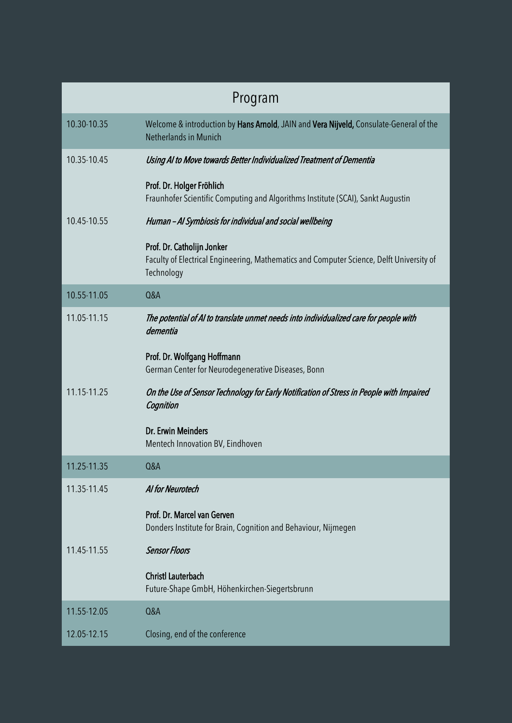| Program     |                                                                                                                                      |
|-------------|--------------------------------------------------------------------------------------------------------------------------------------|
| 10.30-10.35 | Welcome & introduction by Hans Arnold, JAIN and Vera Nijveld, Consulate-General of the<br>Netherlands in Munich                      |
| 10.35-10.45 | Using AI to Move towards Better Individualized Treatment of Dementia                                                                 |
|             | Prof. Dr. Holger Fröhlich<br>Fraunhofer Scientific Computing and Algorithms Institute (SCAI), Sankt Augustin                         |
| 10.45-10.55 | Human - Al Symbiosis for individual and social wellbeing                                                                             |
|             | Prof. Dr. Catholijn Jonker<br>Faculty of Electrical Engineering, Mathematics and Computer Science, Delft University of<br>Technology |
| 10.55-11.05 | Q&A                                                                                                                                  |
| 11.05-11.15 | The potential of AI to translate unmet needs into individualized care for people with<br>dementia                                    |
|             | Prof. Dr. Wolfgang Hoffmann<br>German Center for Neurodegenerative Diseases, Bonn                                                    |
| 11.15-11.25 | On the Use of Sensor Technology for Early Notification of Stress in People with Impaired<br>Cognition                                |
|             | Dr. Erwin Meinders<br>Mentech Innovation BV, Eindhoven                                                                               |
| 11.25-11.35 | <b>Q&amp;A</b>                                                                                                                       |
| 11.35-11.45 | Al for Neurotech                                                                                                                     |
|             | Prof. Dr. Marcel van Gerven<br>Donders Institute for Brain, Cognition and Behaviour, Nijmegen                                        |
| 11.45-11.55 | <b>Sensor Floors</b>                                                                                                                 |
|             | <b>Christl Lauterbach</b><br>Future-Shape GmbH, Höhenkirchen-Siegertsbrunn                                                           |
| 11.55-12.05 | Q&A                                                                                                                                  |
| 12.05-12.15 | Closing, end of the conference                                                                                                       |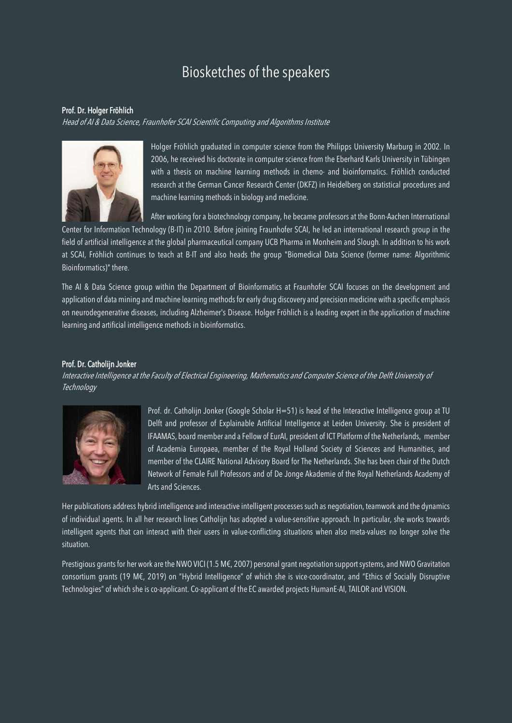# Biosketches of the speakers

#### Prof. Dr. Holger Fröhlich

Head of AI & Data Science, Fraunhofer SCAI Scientific Computing and Algorithms Institute



Holger Fröhlich graduated in computer science from the Philipps University Marburg in 2002. In 2006, he received his doctorate in computer science from the Eberhard Karls University in Tübingen with a thesis on machine learning methods in chemo- and bioinformatics. Fröhlich conducted research at the German Cancer Research Center (DKFZ) in Heidelberg on statistical procedures and machine learning methods in biology and medicine.

After working for a biotechnology company, he became professors at the Bonn-Aachen International

Center for Information Technology (B-IT) in 2010. Before joining Fraunhofer SCAI, he led an international research group in the field of artificial intelligence at the global pharmaceutical company UCB Pharma in Monheim and Slough. In addition to his work at SCAI, Fröhlich continues to teach at B-IT and also heads the group "Biomedical Data Science (former name: Algorithmic Bioinformatics)" there.

The AI & Data Science group within the Department of Bioinformatics at Fraunhofer SCAI focuses on the development and application of data mining and machine learning methods for early drug discovery and precision medicine with a specific emphasis on neurodegenerative diseases, including Alzheimer's Disease. Holger Fröhlich is a leading expert in the application of machine learning and artificial intelligence methods in bioinformatics.

#### Prof. Dr. Catholijn Jonker

Interactive Intelligence at the Faculty of Electrical Engineering, Mathematics and Computer Science of the Delft University of **Technology** 



Prof. dr. Catholijn Jonker (Google Scholar H=51) is head of the Interactive Intelligence group at TU Delft and professor of Explainable Artificial Intelligence at Leiden University. She is president of IFAAMAS, board member and a Fellow of EurAI, president of ICT Platform of the Netherlands, member of Academia Europaea, member of the Royal Holland Society of Sciences and Humanities, and member of the CLAIRE National Advisory Board for The Netherlands. She has been chair of the Dutch Network of Female Full Professors and of De Jonge Akademie of the Royal Netherlands Academy of Arts and Sciences.

Her publications address hybrid intelligence and interactive intelligent processes such as negotiation, teamwork and the dynamics of individual agents. In all her research lines Catholijn has adopted a value-sensitive approach. In particular, she works towards intelligent agents that can interact with their users in value-conflicting situations when also meta-values no longer solve the situation.

Prestigious grants for her work are the NWO VICI (1.5 M€, 2007) personal grant negotiation support systems, and NWO Gravitation consortium grants (19 M€, 2019) on "Hybrid Intelligence" of which she is vice-coordinator, and "Ethics of Socially Disruptive Technologies" of which she is co-applicant. Co-applicant of the EC awarded projects HumanE-AI, TAILOR and VISION.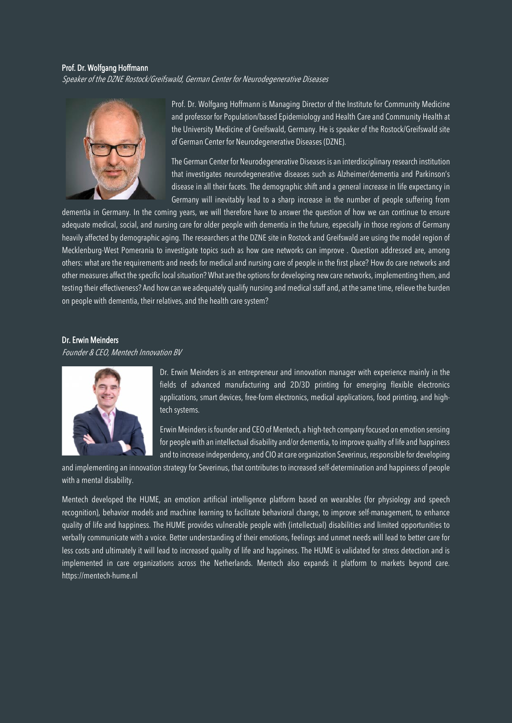#### Prof. Dr. Wolfgang Hoffmann

Speaker of the DZNE Rostock/Greifswald, German Center for Neurodegenerative Diseases



Prof. Dr. Wolfgang Hoffmann is Managing Director of the Institute for Community Medicine and professor for Population/based Epidemiology and Health Care and Community Health at the University Medicine of Greifswald, Germany. He is speaker of the Rostock/Greifswald site of German Center for Neurodegenerative Diseases (DZNE).

The German Center for Neurodegenerative Diseases is an interdisciplinary research institution that investigates neurodegenerative diseases such as Alzheimer/dementia and Parkinson's disease in all their facets. The demographic shift and a general increase in life expectancy in Germany will inevitably lead to a sharp increase in the number of people suffering from

dementia in Germany. In the coming years, we will therefore have to answer the question of how we can continue to ensure adequate medical, social, and nursing care for older people with dementia in the future, especially in those regions of Germany heavily affected by demographic aging. The researchers at the DZNE site in Rostock and Greifswald are using the model region of Mecklenburg-West Pomerania to investigate topics such as how care networks can improve . Question addressed are, among others: what are the requirements and needs for medical and nursing care of people in the first place? How do care networks and other measures affect the specific local situation? What are the options for developing new care networks, implementing them, and testing their effectiveness? And how can we adequately qualify nursing and medical staff and, at the same time, relieve the burden on people with dementia, their relatives, and the health care system?

#### Dr. Erwin Meinders

Founder & CEO, Mentech Innovation BV



Dr. Erwin Meinders is an entrepreneur and innovation manager with experience mainly in the fields of advanced manufacturing and 2D/3D printing for emerging flexible electronics applications, smart devices, free-form electronics, medical applications, food printing, and hightech systems.

Erwin Meinders is founder and CEO of Mentech, a high-tech company focused on emotion sensing for people with an intellectual disability and/or dementia, to improve quality of life and happiness and to increase independency, and CIO at care organization Severinus, responsible for developing

and implementing an innovation strategy for Severinus, that contributes to increased self-determination and happiness of people with a mental disability.

Mentech developed the HUME, an emotion artificial intelligence platform based on wearables (for physiology and speech recognition), behavior models and machine learning to facilitate behavioral change, to improve self-management, to enhance quality of life and happiness. The HUME provides vulnerable people with (intellectual) disabilities and limited opportunities to verbally communicate with a voice. Better understanding of their emotions, feelings and unmet needs will lead to better care for less costs and ultimately it will lead to increased quality of life and happiness. The HUME is validated for stress detection and is implemented in care organizations across the Netherlands. Mentech also expands it platform to markets beyond care. https://mentech-hume.nl